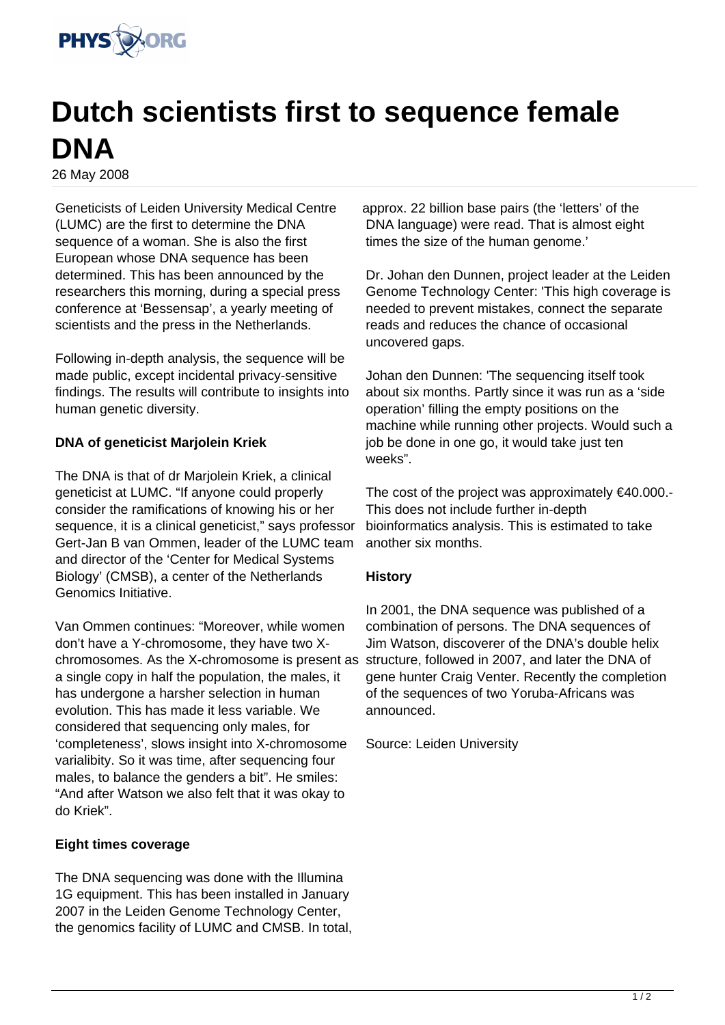

## **Dutch scientists first to sequence female DNA**

26 May 2008

Geneticists of Leiden University Medical Centre (LUMC) are the first to determine the DNA sequence of a woman. She is also the first European whose DNA sequence has been determined. This has been announced by the researchers this morning, during a special press conference at 'Bessensap', a yearly meeting of scientists and the press in the Netherlands.

Following in-depth analysis, the sequence will be made public, except incidental privacy-sensitive findings. The results will contribute to insights into human genetic diversity.

## **DNA of geneticist Marjolein Kriek**

The DNA is that of dr Marjolein Kriek, a clinical geneticist at LUMC. "If anyone could properly consider the ramifications of knowing his or her sequence, it is a clinical geneticist," says professor Gert-Jan B van Ommen, leader of the LUMC team and director of the 'Center for Medical Systems Biology' (CMSB), a center of the Netherlands Genomics Initiative.

Van Ommen continues: "Moreover, while women don't have a Y-chromosome, they have two Xchromosomes. As the X-chromosome is present as structure, followed in 2007, and later the DNA of a single copy in half the population, the males, it has undergone a harsher selection in human evolution. This has made it less variable. We considered that sequencing only males, for 'completeness', slows insight into X-chromosome varialibity. So it was time, after sequencing four males, to balance the genders a bit". He smiles: "And after Watson we also felt that it was okay to do Kriek".

## **Eight times coverage**

The DNA sequencing was done with the Illumina 1G equipment. This has been installed in January 2007 in the Leiden Genome Technology Center, the genomics facility of LUMC and CMSB. In total,

approx. 22 billion base pairs (the 'letters' of the DNA language) were read. That is almost eight times the size of the human genome.'

Dr. Johan den Dunnen, project leader at the Leiden Genome Technology Center: 'This high coverage is needed to prevent mistakes, connect the separate reads and reduces the chance of occasional uncovered gaps.

Johan den Dunnen: 'The sequencing itself took about six months. Partly since it was run as a 'side operation' filling the empty positions on the machine while running other projects. Would such a job be done in one go, it would take just ten weeks".

The cost of the project was approximately €40.000.- This does not include further in-depth bioinformatics analysis. This is estimated to take another six months.

## **History**

In 2001, the DNA sequence was published of a combination of persons. The DNA sequences of Jim Watson, discoverer of the DNA's double helix gene hunter Craig Venter. Recently the completion of the sequences of two Yoruba-Africans was announced.

Source: Leiden University